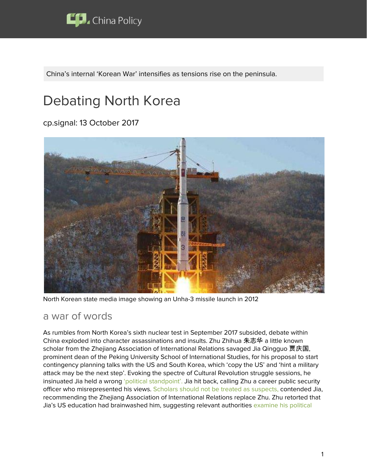

China's internal 'Korean War' intensifies as tensions rise on the peninsula.

# Debating North Korea

cp.signal: 13 October 2017



North Korean state media image showing an Unha-3 missile launch in 2012

#### a war of words

As rumbles from North Korea's sixth nuclear test in September 2017 subsided, debate within China exploded into character assassinations and insults. Zhu Zhihua 朱志华 a little known scholar from the Zhejiang Association of International Relations savaged Jia Qingguo 贾庆国, prominent dean of the Peking University School of International Studies, for his proposal to start contingency planning talks with the US and South Korea, which 'copy the US' and 'hint a military attack may be the next step'. Evoking the spectre of Cultural Revolution struggle sessions, he insinuated Jia held a wrong 'political [standpoint'.](https://policycn.com/policy_ticker/jia-qingguo-misleads-on-north-korea/) Jia hit back, calling Zhu a career public security officer who misrepresented his views. Scholars should not be treated as [suspects,](https://policycn.com/policy_ticker/a-scholarly-debate-on-north-korea-no-cultural-revolution-style-needed/) contended Jia, recommending the Zhejiang Association of International Relations replace Zhu. Zhu retorted that Jia's US education had brainwashed him, suggesting relevant authorities [examine](https://policycn.com/policy_ticker/zhu-zhihuas-rebuttal-jia-qingguo/) his political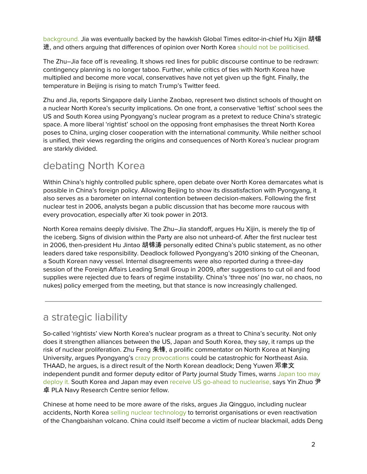[background.](https://policycn.com/policy_ticker/zhu-zhihuas-rebuttal-jia-qingguo/) Jia was eventually backed by the hawkish Global Times editor-in-chief Hu Xijin 胡锡 进, and others arguing that differences of opinion over North Korea should not be [politicised.](https://policycn.com/policy_ticker/political-standpoints-should-keep-out-of-korea-debate/)

The Zhu–Jia face off is revealing. It shows red lines for public discourse continue to be redrawn: contingency planning is no longer taboo. Further, while critics of ties with North Korea have multiplied and become more vocal, conservatives have not yet given up the fight. Finally, the temperature in Beijing is rising to match Trump's Twitter feed.

Zhu and Jia, reports Singapore daily Lianhe Zaobao, represent two distinct schools of thought on a nuclear North Korea's security implications. On one front, a conservative 'leftist' school sees the US and South Korea using Pyongyang's nuclear program as a pretext to reduce China's strategic space. A more liberal 'rightist' school on the opposing front emphasises the threat North Korea poses to China, urging closer cooperation with the international community. While neither school is unified, their views regarding the origins and consequences of North Korea's nuclear program are starkly divided.

## debating North Korea

Within China's highly controlled public sphere, open debate over North Korea demarcates what is possible in China's foreign policy. Allowing Beijing to show its dissatisfaction with Pyongyang, it also serves as a barometer on internal contention between decision-makers. Following the first nuclear test in 2006, analysts began a public discussion that has become more raucous with every provocation, especially after Xi took power in 2013.

North Korea remains deeply divisive. The Zhu–Jia standoff, argues Hu Xijin, is merely the tip of the iceberg. Signs of division within the Party are also not unheard-of. After the first nuclear test in 2006, then-president Hu Jintao 胡锦涛 personally edited China's public statement, as no other leaders dared take responsibility. Deadlock followed Pyongyang's 2010 sinking of the Cheonan, a South Korean navy vessel. Internal disagreements were also reported during a three-day session of the Foreign Affairs Leading Small Group in 2009, after suggestions to cut oil and food supplies were rejected due to fears of regime instability. China's 'three nos' (no war, no chaos, no nukes) policy emerged from the meeting, but that stance is now increasingly challenged.

## a strategic liability

So-called 'rightists' view North Korea's nuclear program as a threat to China's security. Not only does it strengthen alliances between the US, Japan and South Korea, they say, it ramps up the risk of nuclear proliferation. Zhu Feng 朱锋, a prolific commentator on North Korea at Nanjing University, argues Pyongyang's crazy [provocations](https://policycn.com/policy_ticker/decisive-change-to-sanctions-regime/) could be catastrophic for Northeast Asia. THAAD, he argues, is a direct result of the North Korean deadlock; Deng Yuwen 邓聿文 independent pundit and former deputy editor of Party journal Study Times, warns [Japan](https://policycn.com/policy_ticker/north-korea-threatens-world-order-and-china/) too may [deploy](https://policycn.com/policy_ticker/north-korea-threatens-world-order-and-china/) it. South Korea and Japan may even receive US go-ahead to [nuclearise](https://policycn.com/policy_ticker/peace-talks-solution-north-korean-crisis/)[,](https://policycn.com/policy_ticker/north-korea-just-another-neighbour/) says Yin Zhuo 尹 卓 PLA Navy Research Centre senior fellow.

Chinese at home need to be more aware of the risks, argues Jia Qingguo, including nuclear accidents, North Korea selling nuclear [technology](https://policycn.com/policy_ticker/contingency-plans-needed-for-north-korean-crisis/) to terrorist organisations or even reactivation of the Changbaishan volcano. China could itself become a victim of nuclear blackmail, adds Deng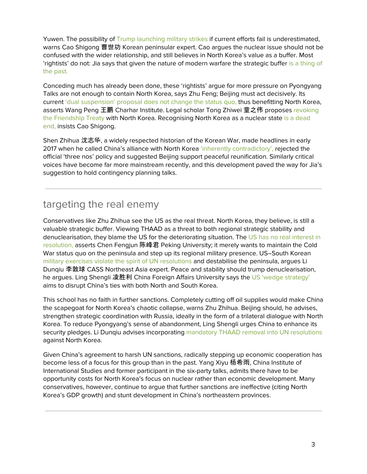Yuwen. The possibility of Trump [launching](https://policycn.com/policy_ticker/us-might-take-military-action-against-north-korea/) military strikes if current efforts fail is underestimated, warns Cao Shigong 曹世功 Korean peninsular expert. Cao argues the nuclear issue should not be confused with the wider relationship, and still believes in North Korea's value as a buffer. Most 'rightists' do not: Jia says that given the nature of modern warfare the strategic buffe[r](https://policycn.com/policy_ticker/misperceiving-north-korea-jia-qingguo/) is a [thing](https://policycn.com/policy_ticker/misperceiving-north-korea-jia-qingguo/) of the [past.](https://policycn.com/policy_ticker/misperceiving-north-korea-jia-qingguo/)

Conceding much has already been done, these 'rightists' argue for more pressure on Pyongyang Talks are not enough to contain North Korea, says Zhu Feng; Beijing must act decisively. Its current 'dual [suspension'](https://policycn.com/policy_ticker/dual-suspension-may-harm-chinese-interests/) proposal does not change the status quo, thus benefitting North Korea, asserts Wang Peng 王鹏 Charhar Institute. Legal scholar Tong Zhiwei 童之伟 proposes [revoking](https://policycn.com/policy_ticker/tong-zhiwei-china-terminate-dprk-friendship-treaty/) the [Friendship](https://policycn.com/policy_ticker/tong-zhiwei-china-terminate-dprk-friendship-treaty/) Treaty with North Korea. Recognising North Korea as a nuclear state is a [dead](https://policycn.com/policy_ticker/chinas-stance-north-koreas-nuclear-program/) [end,](https://policycn.com/policy_ticker/chinas-stance-north-koreas-nuclear-program/) insists Cao Shigong.

Shen Zhihua 沈志华, a widely respected historian of the Korean War, made headlines in early 2017 when he called China's alliance with North Korea 'inherently [contradictory',](https://policycn.com/policy_ticker/shen-zhihua-korea-policy-is-counterproductive/) rejected the official 'three nos' policy and suggested Beijing support peaceful reunification. Similarly critical voices have become far more mainstream recently, and this development paved the way for Jia's suggestion to hold contingency planning talks.

# targeting the real enemy

Conservatives like Zhu Zhihua see the US as the real threat. North Korea, they believe, is still a valuable strategic buffer. Viewing THAAD as a threat to both regional strategic stability and denuclearisation, they blame the US for the deteriorating situation. The US has no real [interest](https://policycn.com/policy_ticker/us-uninterested-resolving-north-korean-issue/) in [resolution,](https://policycn.com/policy_ticker/us-uninterested-resolving-north-korean-issue/) asserts Chen Fengjun 陈峰君 Peking University; it merely wants to maintain the Cold War status quo on the peninsula and step up its regional military presence. US–South Korean military exercises violate the spirit of UN [resolutions](https://policycn.com/policy_ticker/maintaining-balance-on-the-korean-peninsula/) and destabilise the peninsula, argues Li Dunqiu 李敦球 CASS Northeast Asia expert. Peace and stability should trump denuclearisation, he argues. Ling Shengli 凌胜利 China Foreign Affairs University says the US 'wedge [strategy'](https://policycn.com/policy_ticker/us-wedge-strategy-fuels-chinas-divergence-on-korea/) aims to disrupt China's ties with both North and South Korea.

This school has no faith in further sanctions. Completely cutting off oil supplies would make China the scapegoat for North Korea's chaotic collapse, warns Zhu Zhihua. Beijing should, he advises, strengthen strategic coordination with Russia, ideally in the form of a trilateral dialogue with North Korea. To reduce Pyongyang's sense of abandonment, Ling Shengli urges China to enhance its security pledges. Li Dunqiu advises incorporating mandatory THAAD removal into UN [resolutions](https://policycn.com/policy_ticker/moon-returns-to-parks-thaad-policy/) against North Korea.

Given China's agreement to harsh UN sanctions, radically stepping up economic cooperation has become less of a focus for this group than in the past. Yang Xiyu 杨希雨, China Institute of International Studies and former participant in the six-party talks, admits there have to be opportunity costs for North Korea's focus on nuclear rather than economic development. Many conservatives, however, continue to argue that further sanctions are ineffective (citing North Korea's GDP growth) and stunt development in China's northeastern provinces.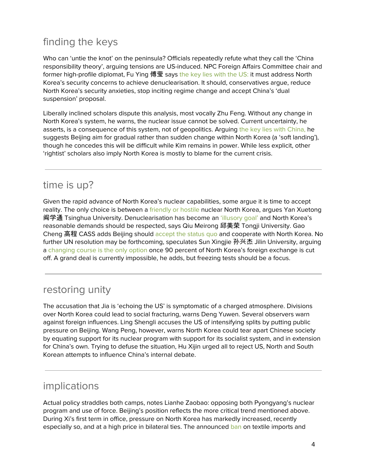# finding the keys

Who can 'untie the knot' on the peninsula? Officials repeatedly refute what they call the 'China responsibility theory', arguing tensions are US-induced. NPC Foreign Affairs Committee chair and former high-profile diplomat, Fu Ying 傅莹 says the key lies [with](https://policycn.com/policy_ticker/us-should-address-north-koreas-security-concerns/) the US: it must address North Korea's security concerns to achieve denuclearisation. It should, conservatives argue, reduce North Korea's security anxieties, stop inciting regime change and accept China's 'dual suspension' proposal.

Liberally inclined scholars dispute this analysis, most vocally Zhu Feng. Without any change in North Korea's system, he warns, the nuclear issue cannot be solved. Current uncertainty, he asserts, is a consequence of this system, not of geopolitics. Arguing the key lies with [China,](https://policycn.com/policy_ticker/zhu-feng-dprk-needs-regime-change/) he suggests Beijing aim for gradual rather than sudden change within North Korea (a 'soft landing'), though he concedes this will be difficult while Kim remains in power. While less explicit, other 'rightist' scholars also imply North Korea is mostly to blame for the current crisis.

### time is up?

Given the rapid advance of North Korea's nuclear capabilities, some argue it is time to accept reality. The only choice is between a [friendly](https://policycn.com/policy_ticker/external-threats-cannot-overturn-chinas-rise/) or hostile nuclear North Korea, argues Yan Xuetong 阎学通 Tsinghua University. Denuclearisation has become an ['illusory](https://policycn.com/policy_ticker/korean-denuclearisation-now-illusory/) goal' and North Korea's reasonable demands should be respected, says Qiu Meirong 邱美荣 Tongji University. Gao Cheng 高程 CASS adds Beijing should [accept](https://policycn.com/policy_ticker/north-korea-just-another-neighbour/) the status quo and cooperate with North Korea. No further UN resolution may be forthcoming, speculates Sun Xingjie 孙兴杰 Jilin University, arguing a [changing](https://policycn.com/policy_ticker/effects-of-sanctions-will-be-visible-within-a-year/) course is the only option once 90 percent of North Korea's foreign exchange is cut off. A grand deal is currently impossible, he adds, but freezing tests should be a focus.

## restoring unity

The accusation that Jia is 'echoing the US' is symptomatic of a charged atmosphere. Divisions over North Korea could lead to social fracturing, warns Deng Yuwen. Several observers warn against foreign influences. Ling Shengli accuses the US of intensifying splits by putting public pressure on Beijing. Wang Peng, however, warns North Korea could tear apart Chinese society by equating support for its nuclear program with support for its socialist system, and in extension for China's own. Trying to defuse the situation, Hu Xijin urged all to reject US, North and South Korean attempts to influence China's internal debate.

### implications

Actual policy straddles both camps, notes Lianhe Zaobao: opposing both Pyongyang's nuclear program and use of force. Beijing's position reflects the more critical trend mentioned above. During Xi's first term in office, pressure on North Korea has markedly increased, recently especially so, and at a high price in bilateral ties. The announced [ban](https://policycn.com/policy_ticker/implementing-unsc-resolution-2375-against-trade-with-north-korea/) on textile imports and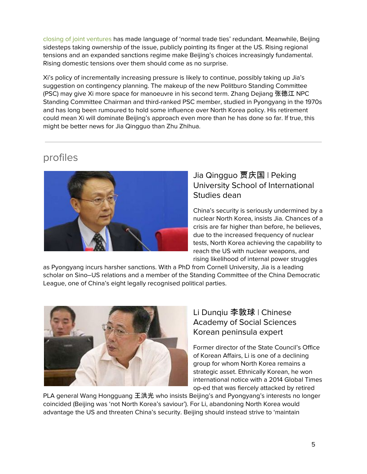closing of joint [ventures](https://policycn.com/policy_ticker/shutting-north-korean-companies-china/) has made language of 'normal trade ties' redundant. Meanwhile, Beijing sidesteps taking ownership of the issue, publicly pointing its finger at the US. Rising regional tensions and an expanded sanctions regime make Beijing's choices increasingly fundamental. Rising domestic tensions over them should come as no surprise.

Xi's policy of incrementally increasing pressure is likely to continue, possibly taking up Jia's suggestion on contingency planning. The makeup of the new Politburo Standing Committee (PSC) may give Xi more space for manoeuvre in his second term. Zhang Dejiang 张德江 NPC Standing Committee Chairman and third-ranked PSC member, studied in Pyongyang in the 1970s and has long been rumoured to hold some influence over North Korea policy. His retirement could mean Xi will dominate Beijing's approach even more than he has done so far. If true, this might be better news for Jia Qingguo than Zhu Zhihua.

### profiles



#### Jia Qingguo 贾庆国 | Peking University School of International Studies dean

China's security is seriously undermined by a nuclear North Korea, insists Jia. Chances of a crisis are far higher than before, he believes, due to the increased frequency of nuclear tests, North Korea achieving the capability to reach the US with nuclear weapons, and rising likelihood of internal power struggles

as Pyongyang incurs harsher sanctions. With a PhD from Cornell University, Jia is a leading scholar on Sino–US relations and a member of the Standing Committee of the China Democratic League, one of China's eight legally recognised political parties.



#### Li Dunqiu 李敦球 | Chinese Academy of Social Sciences Korean peninsula expert

Former director of the State Council's Office of Korean Affairs, Li is one of a declining group for whom North Korea remains a strategic asset. Ethnically Korean, he won international notice with a 2014 Global Times op-ed that was fiercely attacked by retired

PLA general Wang Hongguang 王洪光 who insists Beijing's and Pyongyang's interests no longer coincided (Beijing was 'not North Korea's saviour'). For Li, abandoning North Korea would advantage the US and threaten China's security. Beijing should instead strive to 'maintain